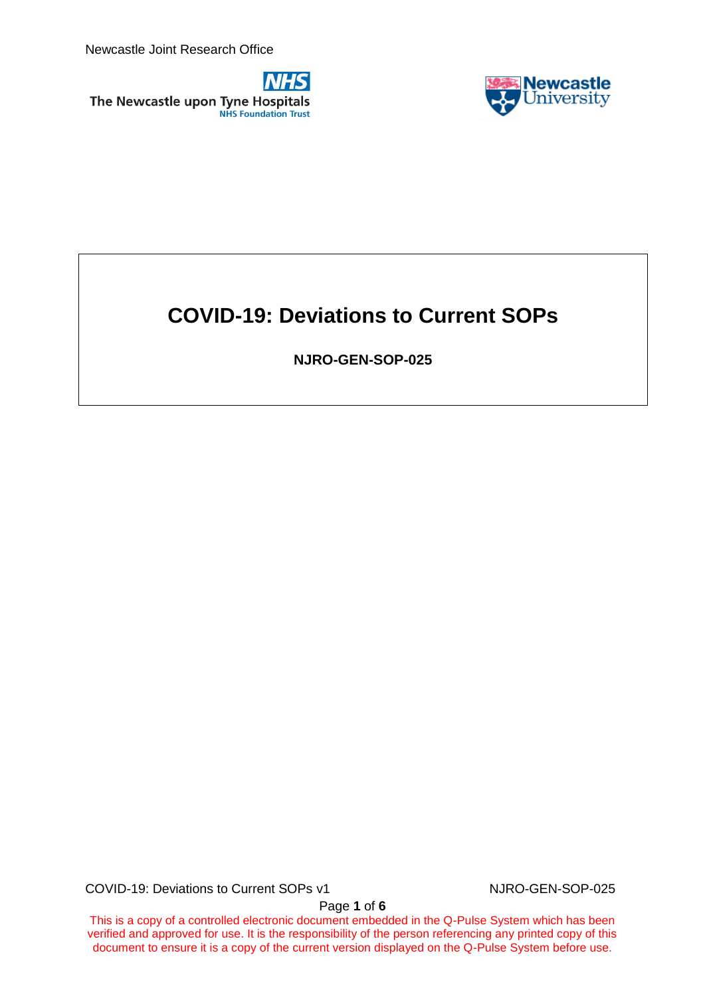Newcastle Joint Research Office



The Newcastle upon Tyne Hospitals **NHS Foundation Trust** 

# **COVID-19: Deviations to Current SOPs**

**NJRO-GEN-SOP-025**

COVID-19: Deviations to Current SOPs v1 NJRO-GEN-SOP-025

Page **1** of **6**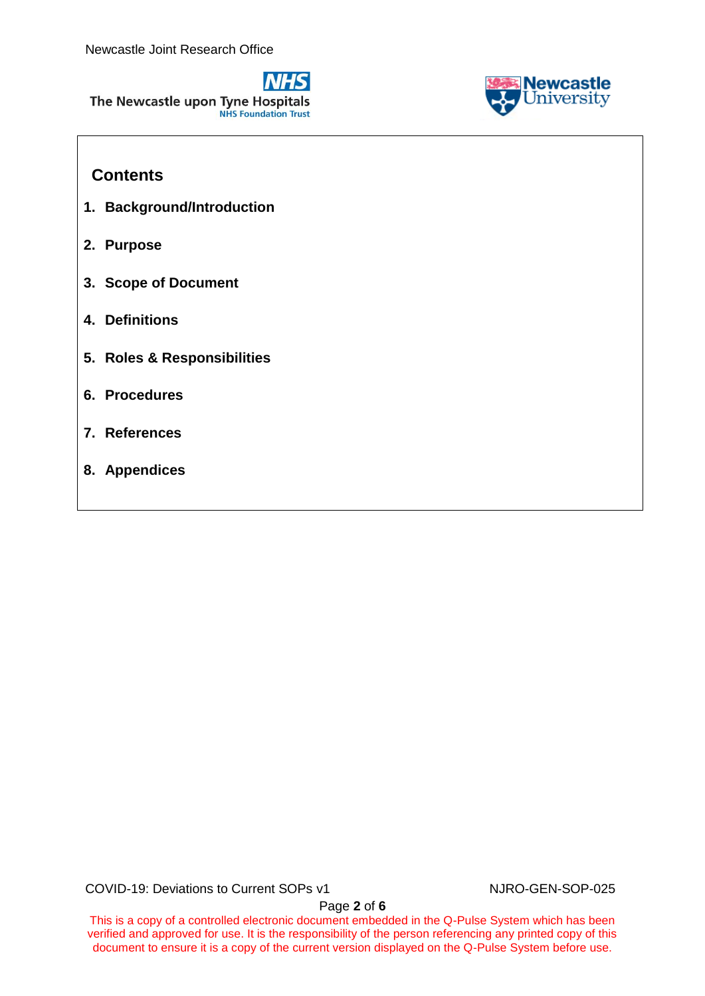



# **Contents**

- **1. Background/Introduction**
- **2. Purpose**
- **3. Scope of Document**
- **4. Definitions**
- **5. Roles & Responsibilities**
- **6. Procedures**
- **7. References**
- **8. Appendices**

COVID-19: Deviations to Current SOPs v1 NJRO-GEN-SOP-025

This is a copy of a controlled electronic document embedded in the Q-Pulse System which has been verified and approved for use. It is the responsibility of the person referencing any printed copy of this document to ensure it is a copy of the current version displayed on the Q-Pulse System before use.

Page **2** of **6**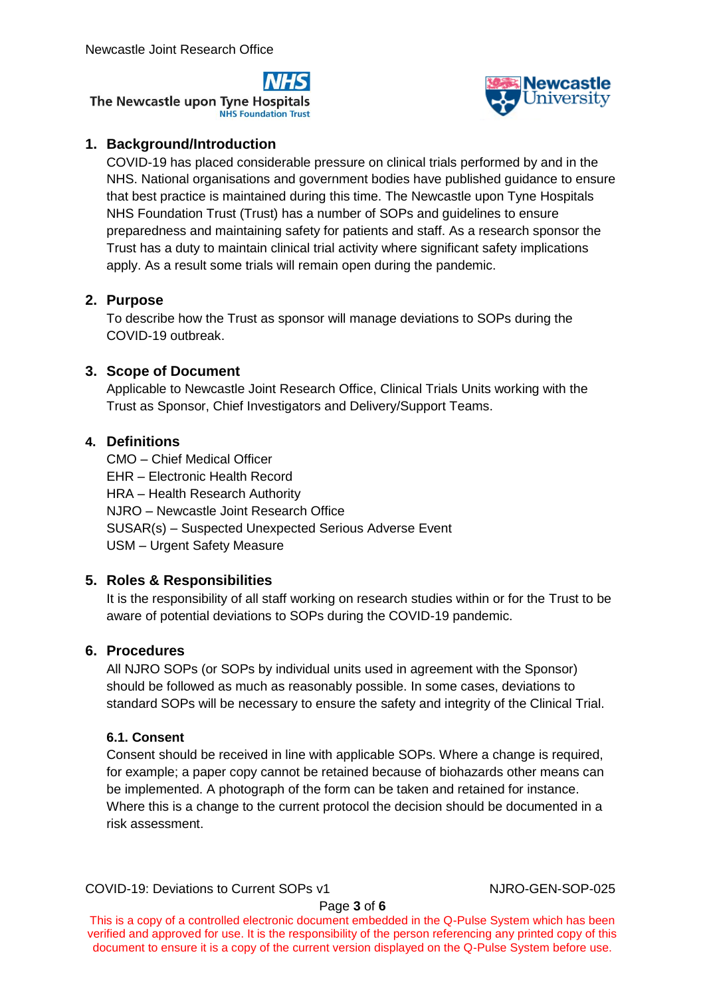The Newcastle upon Tyne Hospitals **NHS Foundation Trust** 



# **1. Background/Introduction**

COVID-19 has placed considerable pressure on clinical trials performed by and in the NHS. National organisations and government bodies have published guidance to ensure that best practice is maintained during this time. The Newcastle upon Tyne Hospitals NHS Foundation Trust (Trust) has a number of SOPs and guidelines to ensure preparedness and maintaining safety for patients and staff. As a research sponsor the Trust has a duty to maintain clinical trial activity where significant safety implications apply. As a result some trials will remain open during the pandemic.

# **2. Purpose**

To describe how the Trust as sponsor will manage deviations to SOPs during the COVID-19 outbreak.

# **3. Scope of Document**

Applicable to Newcastle Joint Research Office, Clinical Trials Units working with the Trust as Sponsor, Chief Investigators and Delivery/Support Teams.

# **4. Definitions**

CMO – Chief Medical Officer EHR – Electronic Health Record HRA – Health Research Authority NJRO – Newcastle Joint Research Office SUSAR(s) – Suspected Unexpected Serious Adverse Event USM – Urgent Safety Measure

# **5. Roles & Responsibilities**

It is the responsibility of all staff working on research studies within or for the Trust to be aware of potential deviations to SOPs during the COVID-19 pandemic.

# **6. Procedures**

All NJRO SOPs (or SOPs by individual units used in agreement with the Sponsor) should be followed as much as reasonably possible. In some cases, deviations to standard SOPs will be necessary to ensure the safety and integrity of the Clinical Trial.

# **6.1. Consent**

Consent should be received in line with applicable SOPs. Where a change is required, for example; a paper copy cannot be retained because of biohazards other means can be implemented. A photograph of the form can be taken and retained for instance. Where this is a change to the current protocol the decision should be documented in a risk assessment.

COVID-19: Deviations to Current SOPs v1 NJRO-GEN-SOP-025

Page **3** of **6**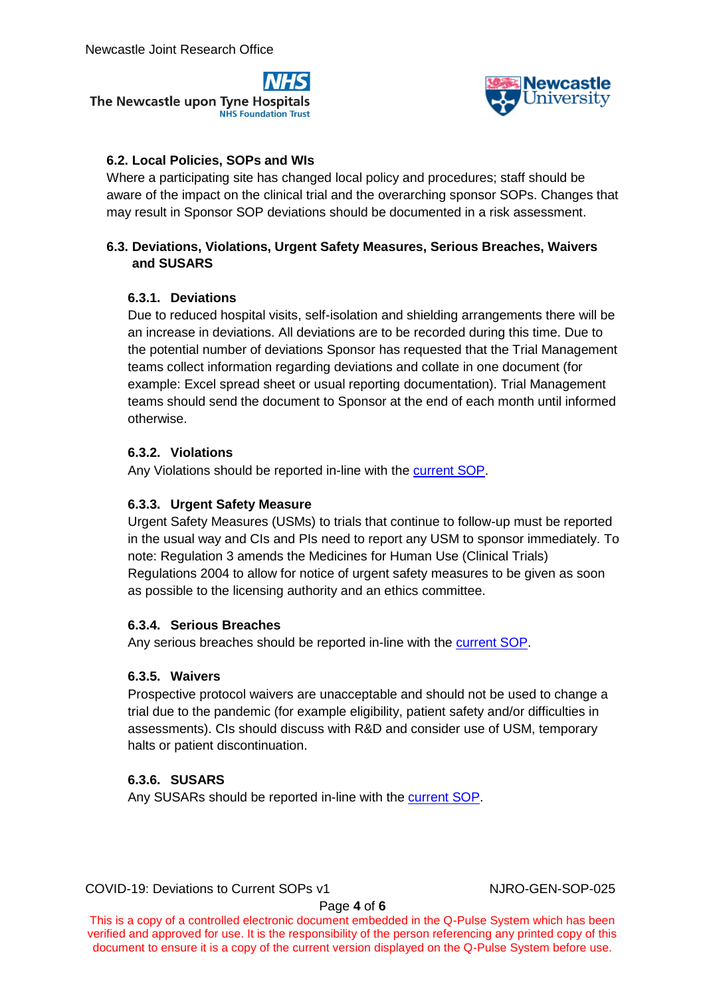



#### **6.2. Local Policies, SOPs and WIs**

Where a participating site has changed local policy and procedures; staff should be aware of the impact on the clinical trial and the overarching sponsor SOPs. Changes that may result in Sponsor SOP deviations should be documented in a risk assessment.

#### **6.3. Deviations, Violations, Urgent Safety Measures, Serious Breaches, Waivers and SUSARS**

#### **6.3.1. Deviations**

Due to reduced hospital visits, self-isolation and shielding arrangements there will be an increase in deviations. All deviations are to be recorded during this time. Due to the potential number of deviations Sponsor has requested that the Trial Management teams collect information regarding deviations and collate in one document (for example: Excel spread sheet or usual reporting documentation). Trial Management teams should send the document to Sponsor at the end of each month until informed otherwise.

#### **6.3.2. Violations**

Any Violations should be reported in-line with the [current SOP.](https://g14784.gael-config.net/QPulseDocumentService/Documents.svc/documents/active/attachment?number=NJRO-GEN-SOP-002)

#### **6.3.3. Urgent Safety Measure**

Urgent Safety Measures (USMs) to trials that continue to follow-up must be reported in the usual way and CIs and PIs need to report any USM to sponsor immediately. To note: Regulation 3 amends the Medicines for Human Use (Clinical Trials) Regulations 2004 to allow for notice of urgent safety measures to be given as soon as possible to the licensing authority and an ethics committee.

#### **6.3.4. Serious Breaches**

Any serious breaches should be reported in-line with the [current SOP.](https://g14784.gael-config.net/QPulseDocumentService/Documents.svc/documents/active/attachment?number=NJRO-REG-SOP-013)

#### **6.3.5. Waivers**

Prospective protocol waivers are unacceptable and should not be used to change a trial due to the pandemic (for example eligibility, patient safety and/or difficulties in assessments). CIs should discuss with R&D and consider use of USM, temporary halts or patient discontinuation.

#### **6.3.6. SUSARS**

Any SUSARs should be reported in-line with the [current SOP.](https://g14784.gael-config.net/QPulseDocumentService/Documents.svc/documents/active/attachment?number=NJRO-REG-SOP-007)

COVID-19: Deviations to Current SOPs v1 NJRO-GEN-SOP-025

Page **4** of **6**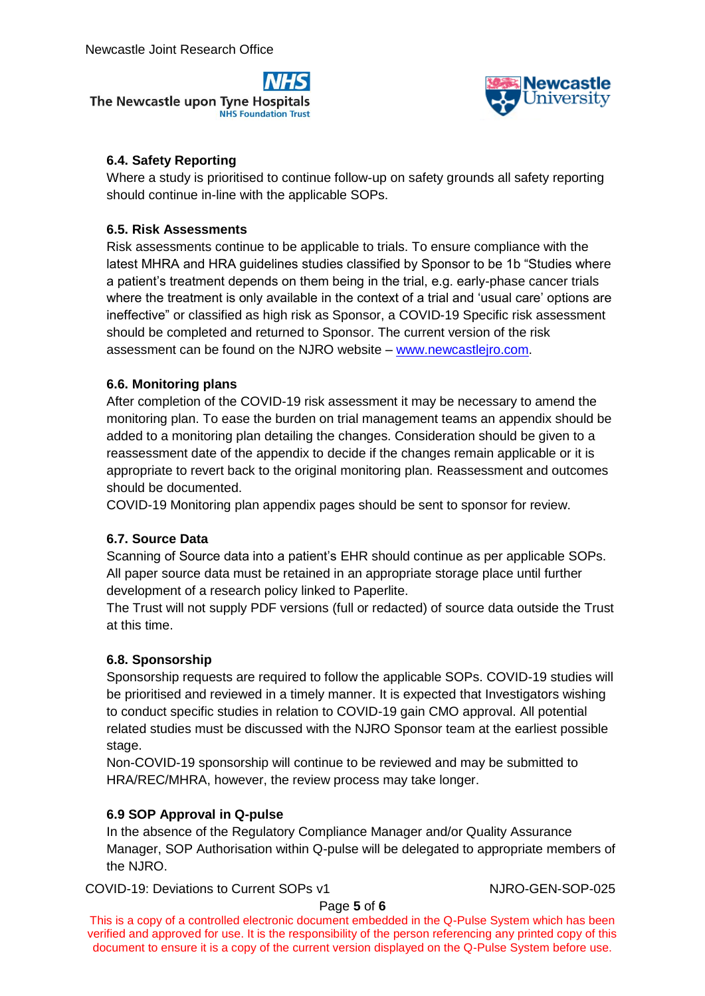



#### **6.4. Safety Reporting**

Where a study is prioritised to continue follow-up on safety grounds all safety reporting should continue in-line with the applicable SOPs.

#### **6.5. Risk Assessments**

Risk assessments continue to be applicable to trials. To ensure compliance with the latest MHRA and HRA guidelines studies classified by Sponsor to be 1b "Studies where a patient"s treatment depends on them being in the trial, e.g. early-phase cancer trials where the treatment is only available in the context of a trial and 'usual care' options are ineffective" or classified as high risk as Sponsor, a COVID-19 Specific risk assessment should be completed and returned to Sponsor. The current version of the risk assessment can be found on the NJRO website – [www.newcastlejro.com.](http://www.newcastlejro.com/)

#### **6.6. Monitoring plans**

After completion of the COVID-19 risk assessment it may be necessary to amend the monitoring plan. To ease the burden on trial management teams an appendix should be added to a monitoring plan detailing the changes. Consideration should be given to a reassessment date of the appendix to decide if the changes remain applicable or it is appropriate to revert back to the original monitoring plan. Reassessment and outcomes should be documented.

COVID-19 Monitoring plan appendix pages should be sent to sponsor for review.

#### **6.7. Source Data**

Scanning of Source data into a patient"s EHR should continue as per applicable SOPs. All paper source data must be retained in an appropriate storage place until further development of a research policy linked to Paperlite.

The Trust will not supply PDF versions (full or redacted) of source data outside the Trust at this time.

#### **6.8. Sponsorship**

Sponsorship requests are required to follow the applicable SOPs. COVID-19 studies will be prioritised and reviewed in a timely manner. It is expected that Investigators wishing to conduct specific studies in relation to COVID-19 gain CMO approval. All potential related studies must be discussed with the NJRO Sponsor team at the earliest possible stage.

Non-COVID-19 sponsorship will continue to be reviewed and may be submitted to HRA/REC/MHRA, however, the review process may take longer.

#### **6.9 SOP Approval in Q-pulse**

In the absence of the Regulatory Compliance Manager and/or Quality Assurance Manager, SOP Authorisation within Q-pulse will be delegated to appropriate members of the NJRO.

COVID-19: Deviations to Current SOPs v1 NJRO-GEN-SOP-025

Page **5** of **6**